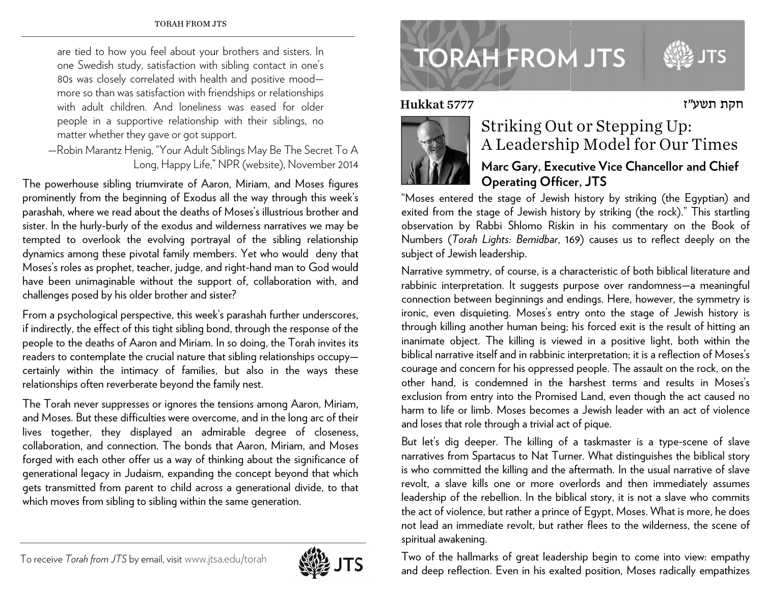are tied to how you feel about your brothers and sisters. In one Swedish study, satisfaction with sibling contact in one's 80s was closely correlated with health and positive mood more so than was satisfaction with friendships or relationships with adult children. And loneliness was eased for older people in a supportive relationship with their siblings, no matter whether they gave or got support.

—Robin Marantz Henig, "Your Adult Siblings May Be The Secret To A Long, Happy Life," NPR (website), November 2014

The powerhouse sibling triumvirate of Aaron, Miriam, and Moses figures prominently from the beginning of Exodus all the way through this week's parashah, where we read about the deaths of Moses's illustrious brother and sister. In the hurly-burly of the exodus and wilderness narratives we may be tempted to overlook the evolving portrayal of the sibling relationship dynamics among these pivotal family members. Yet who would deny that Moses's roles as prophet, teacher, judge, and right-hand man to God would have been unimaginable without the support of, collaboration with, and challenges posed by his old er brother and si ister?

From a psychological perspective, this week's parashah further underscores, if indirectly, the effect of this tight sibling bond, through the response of the people to the deaths of Aaron and Miriam. In so doing, the Torah invites its readers to contemplate the crucial nature that sibling relationships occupy certainly within the intimacy of families, but also in the ways these relationshi p ps often reverber rate beyond the f family nest.

The Torah never suppresses or ignores the tensions among Aaron, Miriam, and Moses. But these difficulties were overcome, and in the long arc of their lives together, they displayed an admirable degree of closeness, collaboration, and connection. The bonds that Aaron, Miriam, and Moses forged with each other offer us a way of thinking about the significance of generational legacy in Judaism, expanding the concept beyond that which gets transmitted from parent to child across a generational divide, to that which moves from sibling to sibling within the same generation.

## **TORAH FROM JTS**

Hukk



## Striking Out or Stepping Up: A Leadership Model for Our Times

## **Mar rc Gary, Exec u utive Vice Ch a ancellor and C Chief Op erating Offic e er, JTS**

"Moses entered the stage of Jewish history by striking (the Egyptian) and exited from the stage of Jewish history by striking (the rock)." This startling observation by Rabbi Shlomo Riskin in his commentary on the Book of Numbers (*Torah Lights: Bemidbar,* 169) causes us to reflect deeply on the subject of Jewish leadership.

Narrative symmetry, of course, is a characteristic of both biblical literature and rabbinic interpretation. It suggests purpose over randomness—a meaningful connection between beginnings and endings. Here, however, the symmetry is ironic, even disquieting. Moses's entry onto the stage of Jewish history is through killing another human being; his forced exit is the result of hitting an inanimate object. The killing is viewed in a positive light, both within the biblical narrative itself and in rabbinic interpretation; it is a reflection of Moses's courage and concern for his oppressed people. The assault on the rock, on the other hand, is condemned in the harshest terms and results in Moses's exclusion from entry into the Promised Land, even though the act caused no harm to life or limb. Moses becomes a Jewish leader with an act of violence and loses that role through a trivial act of pique. Hukkat 5777<br>
ssteps the context of the served exited from the observation by<br>
Numbers (*Torah*<br>
subject of Jewish<br>
Narrative symme<br>
rabbinic interpre<br>
connection betwee rabis through killing are<br>
innimate object<br>
steps thr

But let's dig deeper. The killing of a taskmaster is a type-scene of slave narratives from Spartacus to Nat Turner. What distinguishes the biblical story is who committed the killing and the aftermath. In the usual narrative of slave revolt, a slave kills one or more overlords and then immediately assumes leadership of the rebellion. In the biblical story, it is not a slave who commits the act of violence, but rather a prince of Egypt, Moses. What is more, he does not lead an immediate revolt, but rather flees to the wilderness, the scene of spiritu al awakening.

Two of the hallmarks of great leadership begin to come into view: empathy and deep reflection. Even in his exalted position, Moses radically empathizes



חקת תשע"ז